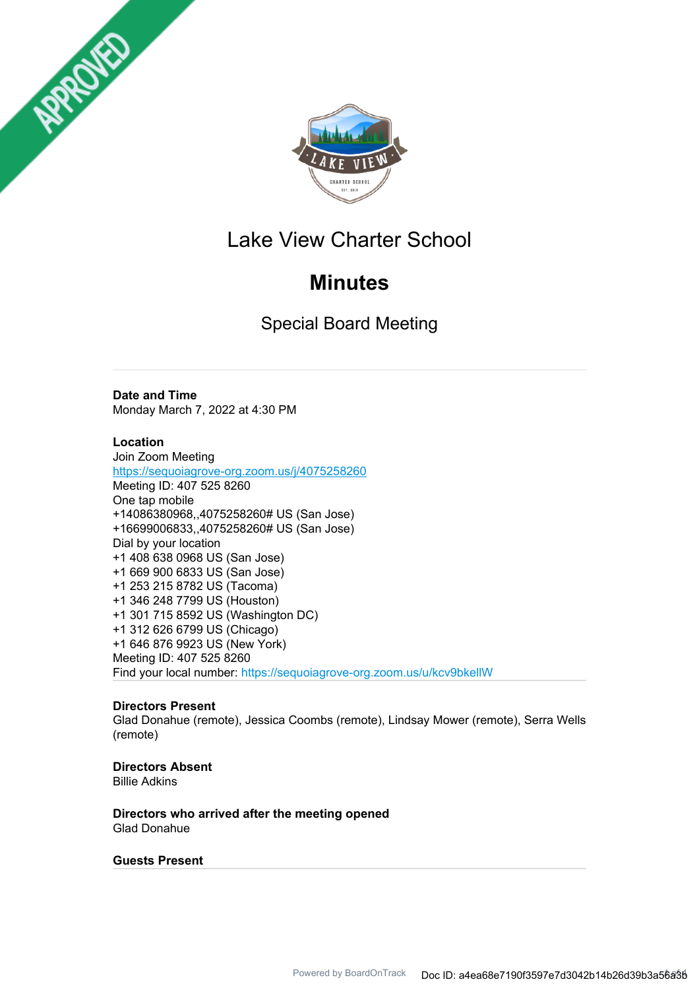



## Lake View Charter School

# **Minutes**

Special Board Meeting

## **Date and Time**

Monday March 7, 2022 at 4:30 PM

## **Location**

Join Zoom Meeting https://sequoiagrove-org.zoom.us/j/4075258260 Meeting ID: 407 525 8260 One tap mobile +14086380968,,4075258260# US (San Jose) +16699006833,,4075258260# US (San Jose) Dial by your location +1 408 638 0968 US (San Jose) +1 669 900 6833 US (San Jose) +1 253 215 8782 US (Tacoma) +1 346 248 7799 US (Houston) +1 301 715 8592 US (Washington DC) +1 312 626 6799 US (Chicago) +1 646 876 9923 US (New York) Meeting ID: 407 525 8260 Find your local number: https://sequoiagrove-org.zoom.us/u/kcv9bkellW

## **Directors Present**

Glad Donahue (remote), Jessica Coombs (remote), Lindsay Mower (remote), Serra Wells (remote)

## **Directors Absent**

Billie Adkins

**Directors who arrived after the meeting opened** Glad Donahue

#### **Guests Present**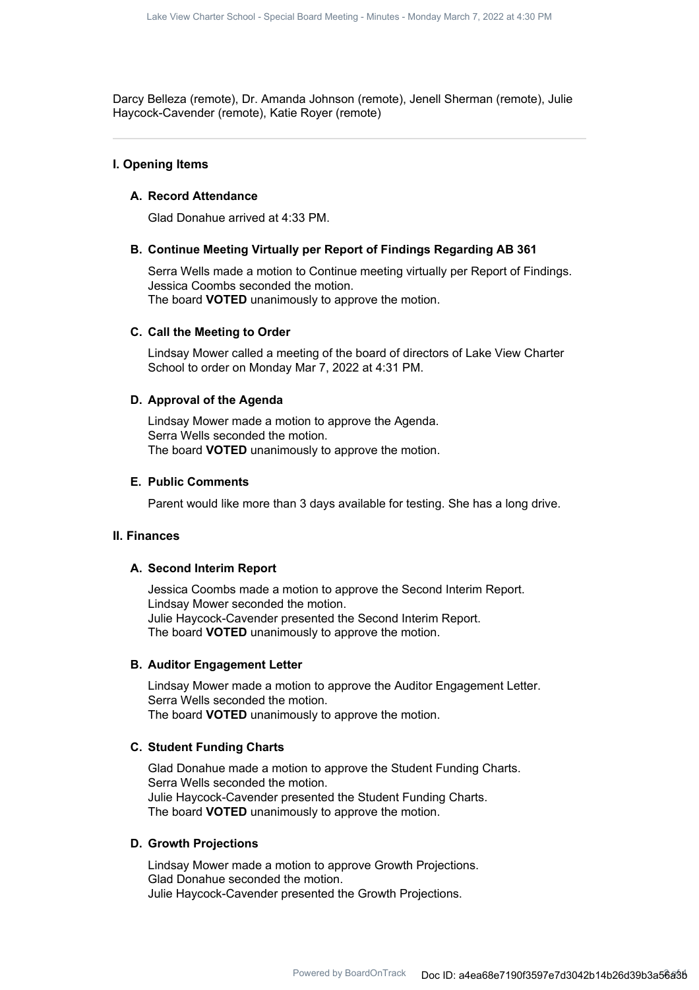Darcy Belleza (remote), Dr. Amanda Johnson (remote), Jenell Sherman (remote), Julie Haycock-Cavender (remote), Katie Royer (remote)

#### **I. Opening Items**

#### **A. Record Attendance**

Glad Donahue arrived at 4:33 PM.

#### **B. Continue Meeting Virtually per Report of Findings Regarding AB 361**

Serra Wells made a motion to Continue meeting virtually per Report of Findings. Jessica Coombs seconded the motion. The board **VOTED** unanimously to approve the motion.

#### **C. Call the Meeting to Order**

Lindsay Mower called a meeting of the board of directors of Lake View Charter School to order on Monday Mar 7, 2022 at 4:31 PM.

#### **D. Approval of the Agenda**

Lindsay Mower made a motion to approve the Agenda. Serra Wells seconded the motion. The board **VOTED** unanimously to approve the motion.

### **E. Public Comments**

Parent would like more than 3 days available for testing. She has a long drive.

## **II. Finances**

#### **A. Second Interim Report**

Jessica Coombs made a motion to approve the Second Interim Report. Lindsay Mower seconded the motion. Julie Haycock-Cavender presented the Second Interim Report. The board **VOTED** unanimously to approve the motion.

#### **B. Auditor Engagement Letter**

Lindsay Mower made a motion to approve the Auditor Engagement Letter. Serra Wells seconded the motion. The board **VOTED** unanimously to approve the motion.

### **C. Student Funding Charts**

Glad Donahue made a motion to approve the Student Funding Charts. Serra Wells seconded the motion. Julie Haycock-Cavender presented the Student Funding Charts. The board **VOTED** unanimously to approve the motion.

#### **D. Growth Projections**

Lindsay Mower made a motion to approve Growth Projections. Glad Donahue seconded the motion. Julie Haycock-Cavender presented the Growth Projections.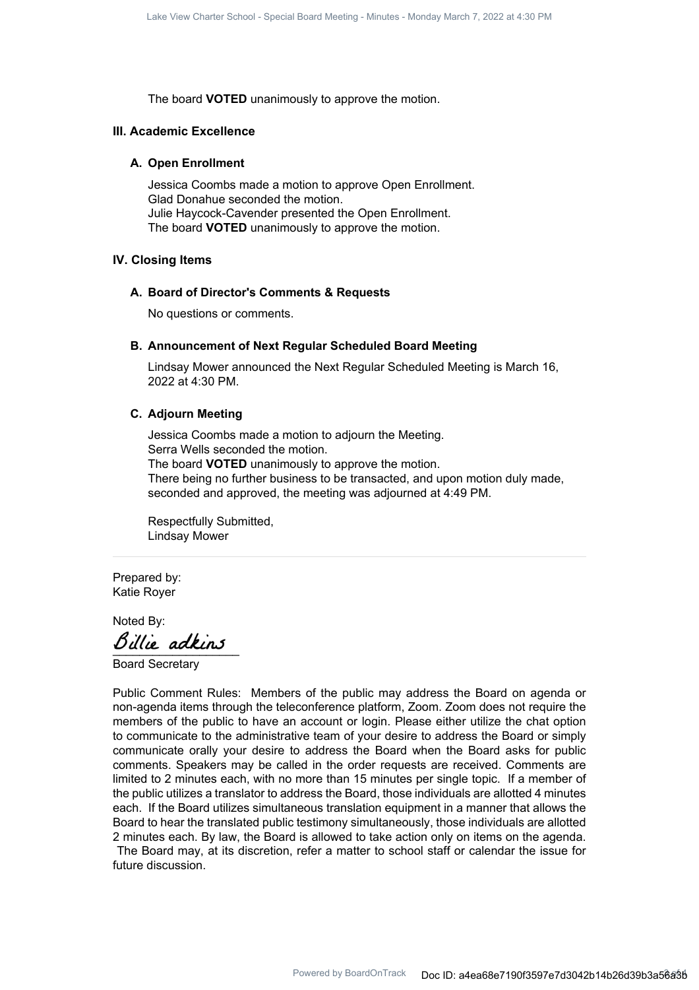The board **VOTED** unanimously to approve the motion.

#### **III. Academic Excellence**

#### **A. Open Enrollment**

Jessica Coombs made a motion to approve Open Enrollment. Glad Donahue seconded the motion. Julie Haycock-Cavender presented the Open Enrollment. The board **VOTED** unanimously to approve the motion.

#### **IV. Closing Items**

#### **A. Board of Director's Comments & Requests**

No questions or comments.

#### **B. Announcement of Next Regular Scheduled Board Meeting**

Lindsay Mower announced the Next Regular Scheduled Meeting is March 16, 2022 at 4:30 PM.

#### **C. Adjourn Meeting**

Jessica Coombs made a motion to adjourn the Meeting. Serra Wells seconded the motion. The board **VOTED** unanimously to approve the motion. There being no further business to be transacted, and upon motion duly made, seconded and approved, the meeting was adjourned at 4:49 PM.

Respectfully Submitted, Lindsay Mower

Prepared by: Katie Royer

Noted By:

Billie adkins

Board Secretary

Public Comment Rules: Members of the public may address the Board on agenda or non-agenda items through the teleconference platform, Zoom. Zoom does not require the members of the public to have an account or login. Please either utilize the chat option to communicate to the administrative team of your desire to address the Board or simply communicate orally your desire to address the Board when the Board asks for public comments. Speakers may be called in the order requests are received. Comments are limited to 2 minutes each, with no more than 15 minutes per single topic. If a member of the public utilizes a translator to address the Board, those individuals are allotted 4 minutes each. If the Board utilizes simultaneous translation equipment in a manner that allows the Board to hear the translated public testimony simultaneously, those individuals are allotted 2 minutes each. By law, the Board is allowed to take action only on items on the agenda.

The Board may, at its discretion, refer a matter to school staff or calendar the issue for future discussion.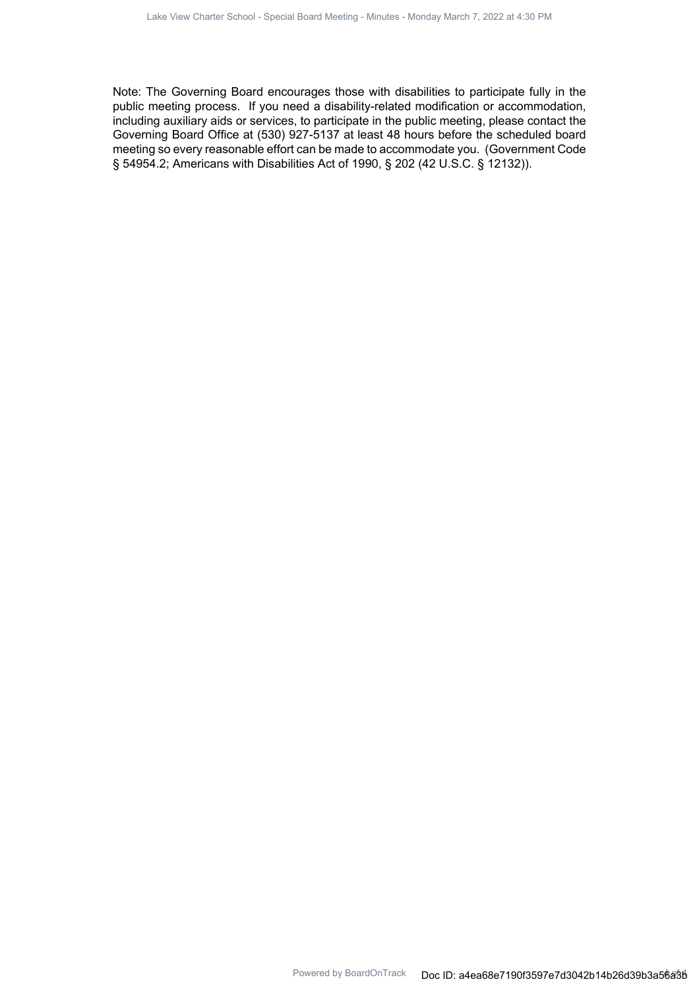Note: The Governing Board encourages those with disabilities to participate fully in the public meeting process. If you need a disability-related modification or accommodation, including auxiliary aids or services, to participate in the public meeting, please contact the Governing Board Office at (530) 927-5137 at least 48 hours before the scheduled board meeting so every reasonable effort can be made to accommodate you. (Government Code § 54954.2; Americans with Disabilities Act of 1990, § 202 (42 U.S.C. § 12132)).